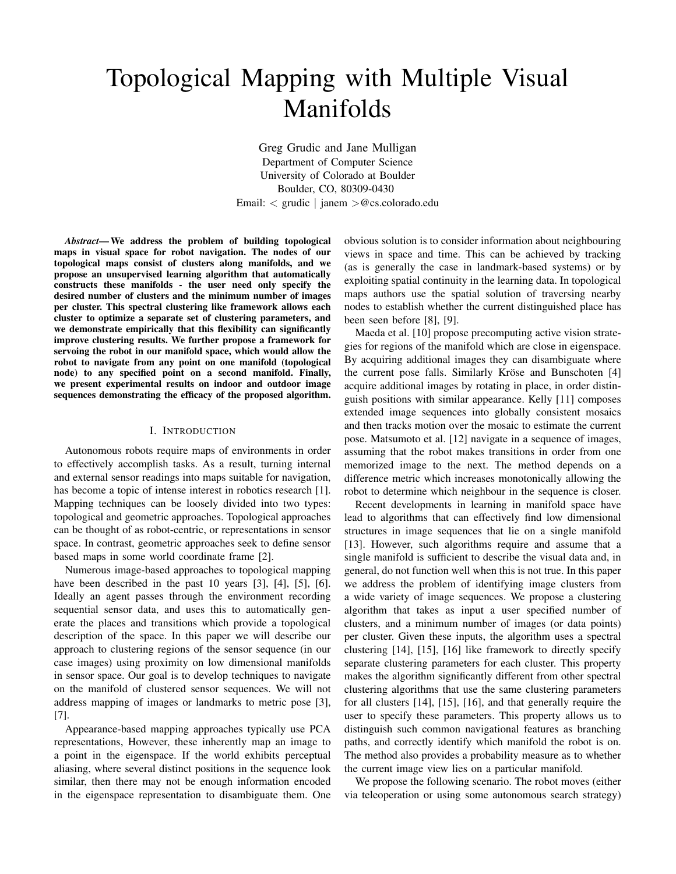# Topological Mapping with Multiple Visual Manifolds

Greg Grudic and Jane Mulligan Department of Computer Science University of Colorado at Boulder Boulder, CO, 80309-0430 Email: < grudic | janem >@cs.colorado.edu

*Abstract***—We address the problem of building topological maps in visual space for robot navigation. The nodes of our topological maps consist of clusters along manifolds, and we propose an unsupervised learning algorithm that automatically constructs these manifolds - the user need only specify the desired number of clusters and the minimum number of images per cluster. This spectral clustering like framework allows each cluster to optimize a separate set of clustering parameters, and we demonstrate empirically that this flexibility can significantly improve clustering results. We further propose a framework for servoing the robot in our manifold space, which would allow the robot to navigate from any point on one manifold (topological node) to any specified point on a second manifold. Finally, we present experimental results on indoor and outdoor image sequences demonstrating the efficacy of the proposed algorithm.**

# I. INTRODUCTION

Autonomous robots require maps of environments in order to effectively accomplish tasks. As a result, turning internal and external sensor readings into maps suitable for navigation, has become a topic of intense interest in robotics research [1]. Mapping techniques can be loosely divided into two types: topological and geometric approaches. Topological approaches can be thought of as robot-centric, or representations in sensor space. In contrast, geometric approaches seek to define sensor based maps in some world coordinate frame [2].

Numerous image-based approaches to topological mapping have been described in the past 10 years [3], [4], [5], [6]. Ideally an agent passes through the environment recording sequential sensor data, and uses this to automatically generate the places and transitions which provide a topological description of the space. In this paper we will describe our approach to clustering regions of the sensor sequence (in our case images) using proximity on low dimensional manifolds in sensor space. Our goal is to develop techniques to navigate on the manifold of clustered sensor sequences. We will not address mapping of images or landmarks to metric pose [3], [7].

Appearance-based mapping approaches typically use PCA representations, However, these inherently map an image to a point in the eigenspace. If the world exhibits perceptual aliasing, where several distinct positions in the sequence look similar, then there may not be enough information encoded in the eigenspace representation to disambiguate them. One obvious solution is to consider information about neighbouring views in space and time. This can be achieved by tracking (as is generally the case in landmark-based systems) or by exploiting spatial continuity in the learning data. In topological maps authors use the spatial solution of traversing nearby nodes to establish whether the current distinguished place has been seen before [8], [9].

Maeda et al. [10] propose precomputing active vision strategies for regions of the manifold which are close in eigenspace. By acquiring additional images they can disambiguate where the current pose falls. Similarly Kröse and Bunschoten [4] acquire additional images by rotating in place, in order distinguish positions with similar appearance. Kelly [11] composes extended image sequences into globally consistent mosaics and then tracks motion over the mosaic to estimate the current pose. Matsumoto et al. [12] navigate in a sequence of images, assuming that the robot makes transitions in order from one memorized image to the next. The method depends on a difference metric which increases monotonically allowing the robot to determine which neighbour in the sequence is closer.

Recent developments in learning in manifold space have lead to algorithms that can effectively find low dimensional structures in image sequences that lie on a single manifold [13]. However, such algorithms require and assume that a single manifold is sufficient to describe the visual data and, in general, do not function well when this is not true. In this paper we address the problem of identifying image clusters from a wide variety of image sequences. We propose a clustering algorithm that takes as input a user specified number of clusters, and a minimum number of images (or data points) per cluster. Given these inputs, the algorithm uses a spectral clustering [14], [15], [16] like framework to directly specify separate clustering parameters for each cluster. This property makes the algorithm significantly different from other spectral clustering algorithms that use the same clustering parameters for all clusters [14], [15], [16], and that generally require the user to specify these parameters. This property allows us to distinguish such common navigational features as branching paths, and correctly identify which manifold the robot is on. The method also provides a probability measure as to whether the current image view lies on a particular manifold.

We propose the following scenario. The robot moves (either via teleoperation or using some autonomous search strategy)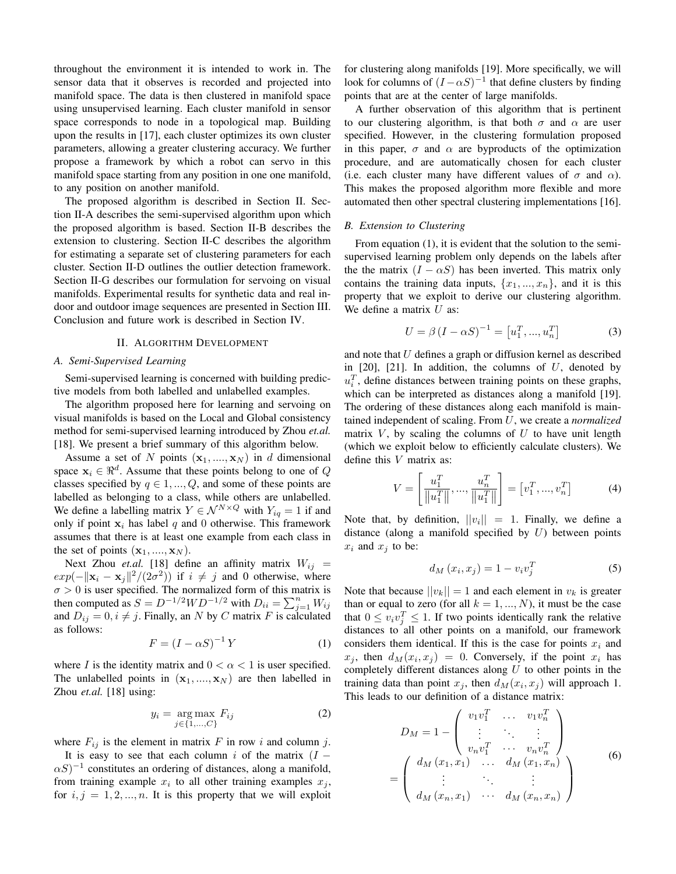throughout the environment it is intended to work in. The sensor data that it observes is recorded and projected into manifold space. The data is then clustered in manifold space using unsupervised learning. Each cluster manifold in sensor space corresponds to node in a topological map. Building upon the results in [17], each cluster optimizes its own cluster parameters, allowing a greater clustering accuracy. We further propose a framework by which a robot can servo in this manifold space starting from any position in one one manifold, to any position on another manifold.

The proposed algorithm is described in Section II. Section II-A describes the semi-supervised algorithm upon which the proposed algorithm is based. Section II-B describes the extension to clustering. Section II-C describes the algorithm for estimating a separate set of clustering parameters for each cluster. Section II-D outlines the outlier detection framework. Section II-G describes our formulation for servoing on visual manifolds. Experimental results for synthetic data and real indoor and outdoor image sequences are presented in Section III. Conclusion and future work is described in Section IV.

#### II. ALGORITHM DEVELOPMENT

## *A. Semi-Supervised Learning*

Semi-supervised learning is concerned with building predictive models from both labelled and unlabelled examples.

The algorithm proposed here for learning and servoing on visual manifolds is based on the Local and Global consistency method for semi-supervised learning introduced by Zhou *et.al.* [18]. We present a brief summary of this algorithm below.

Assume a set of N points  $(x_1, ..., x_N)$  in d dimensional space  $x_i \in \Re^d$ . Assume that these points belong to one of Q classes specified by  $q \in 1, ..., Q$ , and some of these points are labelled as belonging to a class, while others are unlabelled. We define a labelling matrix  $Y \in \mathcal{N}^{N \times Q}$  with  $Y_{iq} = 1$  if and only if point  $x_i$  has label q and 0 otherwise. This framework assumes that there is at least one example from each class in the set of points  $(\mathbf{x}_1, ..., \mathbf{x}_N)$ .

Next Zhou *et.al.* [18] define an affinity matrix  $W_{ij}$  =  $exp(-\|\mathbf{x}_i - \mathbf{x}_j\|^2 / (2\sigma^2))$  if  $i \neq j$  and 0 otherwise, where  $\sigma > 0$  is user specified. The normalized form of this matrix is then computed as  $S = D^{-1/2}WD^{-1/2}$  with  $D_{ii} = \sum_{j=1}^{n} W_{ij}$ and  $D_{ij} = 0, i \neq j$ . Finally, an N by C matrix F is calculated as follows:

$$
F = (I - \alpha S)^{-1} Y \tag{1}
$$

where I is the identity matrix and  $0 < \alpha < 1$  is user specified. The unlabelled points in  $(x_1, ..., x_N)$  are then labelled in Zhou *et.al.* [18] using:

$$
y_i = \underset{j \in \{1, \dots, C\}}{\arg \max} F_{ij} \tag{2}
$$

where  $F_{ij}$  is the element in matrix F in row i and column j.

It is easy to see that each column i of the matrix  $(I (\alpha S)^{-1}$  constitutes an ordering of distances, along a manifold, from training example  $x_i$  to all other training examples  $x_j$ , for  $i, j = 1, 2, ..., n$ . It is this property that we will exploit

for clustering along manifolds [19]. More specifically, we will look for columns of  $(I - \alpha S)^{-1}$  that define clusters by finding points that are at the center of large manifolds.

A further observation of this algorithm that is pertinent to our clustering algorithm, is that both  $\sigma$  and  $\alpha$  are user specified. However, in the clustering formulation proposed in this paper,  $\sigma$  and  $\alpha$  are byproducts of the optimization procedure, and are automatically chosen for each cluster (i.e. each cluster many have different values of  $\sigma$  and  $\alpha$ ). This makes the proposed algorithm more flexible and more automated then other spectral clustering implementations [16].

# *B. Extension to Clustering*

From equation (1), it is evident that the solution to the semisupervised learning problem only depends on the labels after the the matrix  $(I - \alpha S)$  has been inverted. This matrix only contains the training data inputs,  $\{x_1, ..., x_n\}$ , and it is this property that we exploit to derive our clustering algorithm. We define a matrix  $U$  as:

$$
U = \beta (I - \alpha S)^{-1} = [u_1^T, ..., u_n^T]
$$
 (3)

and note that U defines a graph or diffusion kernel as described in  $[20]$ ,  $[21]$ . In addition, the columns of U, denoted by  $u_i^T$ , define distances between training points on these graphs, which can be interpreted as distances along a manifold [19]. The ordering of these distances along each manifold is maintained independent of scaling. From U, we create a *normalized* matrix  $V$ , by scaling the columns of  $U$  to have unit length (which we exploit below to efficiently calculate clusters). We define this V matrix as:

$$
V = \left[\frac{u_1^T}{\|u_1^T\|}, \dots, \frac{u_n^T}{\|u_1^T\|}\right] = \left[v_1^T, \dots, v_n^T\right]
$$
(4)

Note that, by definition,  $||v_i|| = 1$ . Finally, we define a distance (along a manifold specified by  $U$ ) between points  $x_i$  and  $x_j$  to be:

$$
d_M(x_i, x_j) = 1 - v_i v_j^T \tag{5}
$$

Note that because  $||v_k|| = 1$  and each element in  $v_k$  is greater than or equal to zero (for all  $k = 1, ..., N$ ), it must be the case that  $0 \le v_i v_j^T \le 1$ . If two points identically rank the relative distances to all other points on a manifold, our framework considers them identical. If this is the case for points  $x_i$  and  $x_j$ , then  $d_M(x_i, x_j) = 0$ . Conversely, if the point  $x_i$  has completely different distances along  $U$  to other points in the training data than point  $x_j$ , then  $d_M(x_i, x_j)$  will approach 1. This leads to our definition of a distance matrix:

$$
D_M = 1 - \begin{pmatrix} v_1 v_1^T & \dots & v_1 v_n^T \\ \vdots & \ddots & \vdots \\ v_n v_1^T & \dots & v_n v_n^T \end{pmatrix}
$$
  
= 
$$
\begin{pmatrix} d_M(x_1, x_1) & \dots & d_M(x_1, x_n) \\ \vdots & \ddots & \vdots \\ d_M(x_n, x_1) & \dots & d_M(x_n, x_n) \end{pmatrix}
$$
 (6)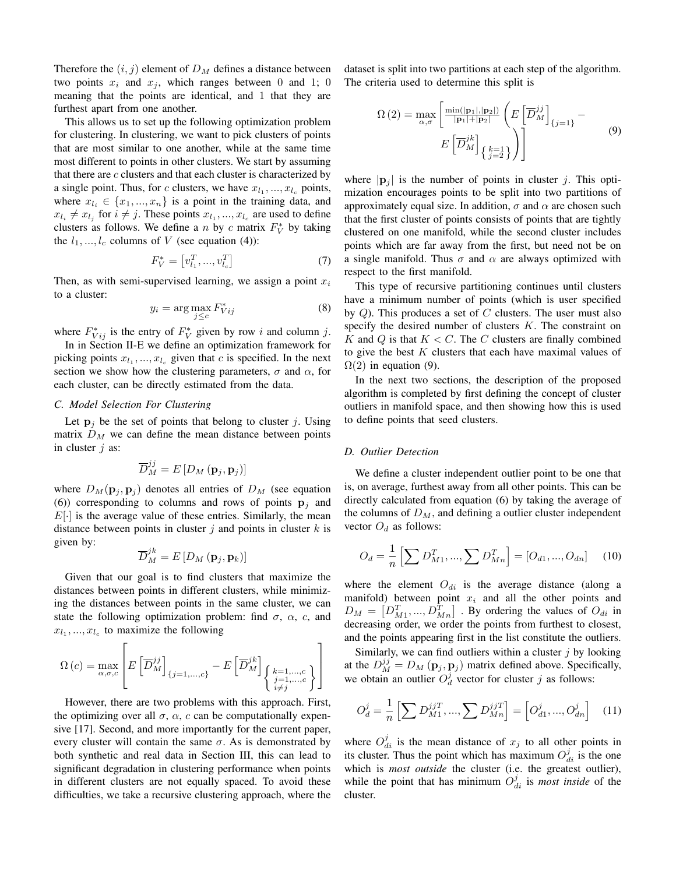Therefore the  $(i, j)$  element of  $D<sub>M</sub>$  defines a distance between two points  $x_i$  and  $x_j$ , which ranges between 0 and 1; 0 meaning that the points are identical, and 1 that they are furthest apart from one another.

This allows us to set up the following optimization problem for clustering. In clustering, we want to pick clusters of points that are most similar to one another, while at the same time most different to points in other clusters. We start by assuming that there are  $c$  clusters and that each cluster is characterized by a single point. Thus, for c clusters, we have  $x_{l_1},...,x_{l_c}$  points, where  $x_{l_i} \in \{x_1, ..., x_n\}$  is a point in the training data, and  $x_{l_i} \neq x_{l_j}$  for  $i \neq j$ . These points  $x_{l_1}, ..., x_{l_c}$  are used to define clusters as follows. We define a *n* by *c* matrix  $F_V^*$  by taking the  $l_1, ..., l_c$  columns of V (see equation (4)):

$$
F_V^* = \left[ v_{l_1}^T, \dots, v_{l_c}^T \right] \tag{7}
$$

Then, as with semi-supervised learning, we assign a point  $x_i$ to a cluster:

$$
y_i = \arg\max_{j \le c} F_{Vij}^* \tag{8}
$$

where  $F_{Vij}^*$  is the entry of  $F_V^*$  given by row i and column j.

In in Section II-E we define an optimization framework for picking points  $x_{l_1},...,x_{l_c}$  given that c is specified. In the next section we show how the clustering parameters,  $\sigma$  and  $\alpha$ , for each cluster, can be directly estimated from the data.

# *C. Model Selection For Clustering*

Let  $p_i$  be the set of points that belong to cluster j. Using matrix  $D_M$  we can define the mean distance between points in cluster  $j$  as:

$$
\overline{D}_M^{jj} = E[D_M(\mathbf{p}_j, \mathbf{p}_j)]
$$

where  $D_M(\mathbf{p}_j, \mathbf{p}_j)$  denotes all entries of  $D_M$  (see equation (6)) corresponding to columns and rows of points  $\mathbf{p}_i$  and  $E[\cdot]$  is the average value of these entries. Similarly, the mean distance between points in cluster  $j$  and points in cluster  $k$  is given by:

$$
\overline{D}_M^{jk} = E\left[D_M\left(\mathbf{p}_j, \mathbf{p}_k\right)\right]
$$

Given that our goal is to find clusters that maximize the distances between points in different clusters, while minimizing the distances between points in the same cluster, we can state the following optimization problem: find  $\sigma$ ,  $\alpha$ ,  $c$ , and  $x_{l_1},...,x_{l_c}$  to maximize the following

$$
\Omega\left(c\right)=\max_{\alpha,\sigma,c}\left[E\left[\overline{D}_{M}^{jj}\right]_{\{j=1,...,c\}}-E\left[\overline{D}_{M}^{jk}\right]_{\left\{\begin{matrix}k=1,...,c\\j=1,...,c\\i\neq j\end{matrix}\right\}}\right]
$$

However, there are two problems with this approach. First, the optimizing over all  $\sigma$ ,  $\alpha$ , c can be computationally expensive [17]. Second, and more importantly for the current paper, every cluster will contain the same  $\sigma$ . As is demonstrated by both synthetic and real data in Section III, this can lead to significant degradation in clustering performance when points in different clusters are not equally spaced. To avoid these difficulties, we take a recursive clustering approach, where the dataset is split into two partitions at each step of the algorithm. The criteria used to determine this split is

$$
\Omega\left(2\right) = \max_{\alpha,\sigma} \left[ \frac{\min(|\mathbf{p}_1|,|\mathbf{p}_2|)}{|\mathbf{p}_1| + |\mathbf{p}_2|} \left( E\left[ \overline{D}_M^{jj} \right]_{\{j=1\}} - E\left[ \overline{D}_M^{jk} \right]_{\{j=2\}} \right) \right]
$$
\n
$$
(9)
$$

where  $|\mathbf{p}_i|$  is the number of points in cluster j. This optimization encourages points to be split into two partitions of approximately equal size. In addition,  $\sigma$  and  $\alpha$  are chosen such that the first cluster of points consists of points that are tightly clustered on one manifold, while the second cluster includes points which are far away from the first, but need not be on a single manifold. Thus  $\sigma$  and  $\alpha$  are always optimized with respect to the first manifold.

This type of recursive partitioning continues until clusters have a minimum number of points (which is user specified by  $Q$ ). This produces a set of  $C$  clusters. The user must also specify the desired number of clusters  $K$ . The constraint on  $K$  and  $Q$  is that  $K < C$ . The  $C$  clusters are finally combined to give the best  $K$  clusters that each have maximal values of  $\Omega(2)$  in equation (9).

In the next two sections, the description of the proposed algorithm is completed by first defining the concept of cluster outliers in manifold space, and then showing how this is used to define points that seed clusters.

## *D. Outlier Detection*

We define a cluster independent outlier point to be one that is, on average, furthest away from all other points. This can be directly calculated from equation (6) by taking the average of the columns of  $D_M$ , and defining a outlier cluster independent vector  $O_d$  as follows:

$$
O_d = \frac{1}{n} \left[ \sum D_{M1}^T, ..., \sum D_{Mn}^T \right] = [O_{d1}, ..., O_{dn}] \quad (10)
$$

where the element  $O_{di}$  is the average distance (along a manifold) between point  $x_i$  and all the other points and  $D_M = [D_{M1}^T, ..., D_{Mn}^T]$ . By ordering the values of  $O_{di}$  in decreasing order, we order the points from furthest to closest, and the points appearing first in the list constitute the outliers.

Similarly, we can find outliers within a cluster  $j$  by looking at the  $D_M^{jj} = D_M(\mathbf{p}_j, \mathbf{p}_j)$  matrix defined above. Specifically, we obtain an outlier  $O_d^j$  vector for cluster j as follows:

$$
O_d^j = \frac{1}{n} \left[ \sum D_{M1}^{jjT}, \dots, \sum D_{Mn}^{jjT} \right] = \left[ O_{d1}^j, \dots, O_{dn}^j \right] \tag{11}
$$

where  $O_{di}^j$  is the mean distance of  $x_j$  to all other points in its cluster. Thus the point which has maximum  $O_{di}^{j}$  is the one which is *most outside* the cluster (i.e. the greatest outlier), while the point that has minimum  $O_{di}^j$  is *most inside* of the cluster.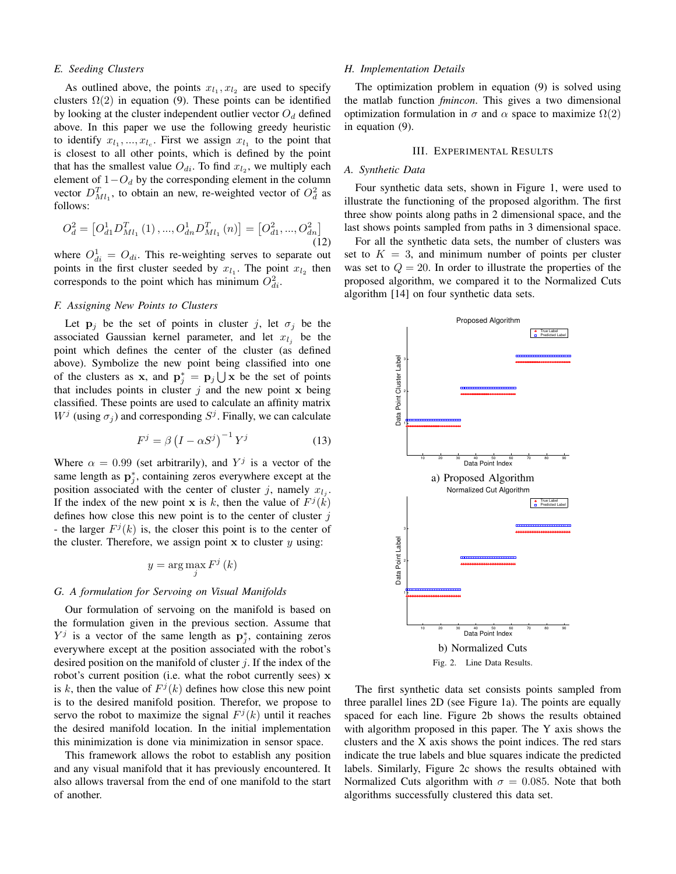# *E. Seeding Clusters*

As outlined above, the points  $x_{l_1}, x_{l_2}$  are used to specify clusters  $\Omega(2)$  in equation (9). These points can be identified by looking at the cluster independent outlier vector  $O_d$  defined above. In this paper we use the following greedy heuristic to identify  $x_{l_1},...,x_{l_c}$ . First we assign  $x_{l_1}$  to the point that is closest to all other points, which is defined by the point that has the smallest value  $O_{di}$ . To find  $x_{l_2}$ , we multiply each element of  $1-O_d$  by the corresponding element in the column vector  $D_{Ml_1}^T$ , to obtain an new, re-weighted vector of  $O_d^2$  as follows:

$$
O_d^2 = \left[ O_{d1}^1 D_{Ml_1}^T(1), ..., O_{dn}^1 D_{Ml_1}^T(n) \right] = \left[ O_{d1}^2, ..., O_{dn}^2 \right] \tag{12}
$$

where  $O_{di}^1 = O_{di}$ . This re-weighting serves to separate out points in the first cluster seeded by  $x_{l_1}$ . The point  $x_{l_2}$  then corresponds to the point which has minimum  $O_{di}^2$ .

## *F. Assigning New Points to Clusters*

Let  $p_j$  be the set of points in cluster j, let  $\sigma_j$  be the associated Gaussian kernel parameter, and let  $x_{l_j}$  be the point which defines the center of the cluster (as defined above). Symbolize the new point being classified into one of the clusters as x, and  $\mathbf{p}_j^* = \mathbf{p}_j \bigcup \mathbf{x}$  be the set of points that includes points in cluster  $i$  and the new point x being classified. These points are used to calculate an affinity matrix  $W^j$  (using  $\sigma_j$ ) and corresponding  $S^j$ . Finally, we can calculate

$$
F^j = \beta \left( I - \alpha S^j \right)^{-1} Y^j \tag{13}
$$

Where  $\alpha = 0.99$  (set arbitrarily), and  $Y^j$  is a vector of the same length as  $\mathbf{p}_j^*$ , containing zeros everywhere except at the position associated with the center of cluster j, namely  $x_{l_j}$ . If the index of the new point **x** is k, then the value of  $F^j(k)$ defines how close this new point is to the center of cluster  $j$ - the larger  $F^j(k)$  is, the closer this point is to the center of the cluster. Therefore, we assign point  $x$  to cluster  $y$  using:

$$
y = \arg\max_{j} F^{j} (k)
$$

# *G. A formulation for Servoing on Visual Manifolds*

Our formulation of servoing on the manifold is based on the formulation given in the previous section. Assume that  $Y^j$  is a vector of the same length as  $\mathbf{p}_j^*$ , containing zeros everywhere except at the position associated with the robot's desired position on the manifold of cluster  $i$ . If the index of the robot's current position (i.e. what the robot currently sees) x is k, then the value of  $F^j(k)$  defines how close this new point is to the desired manifold position. Therefor, we propose to servo the robot to maximize the signal  $F<sup>j</sup>(k)$  until it reaches the desired manifold location. In the initial implementation this minimization is done via minimization in sensor space.

This framework allows the robot to establish any position and any visual manifold that it has previously encountered. It also allows traversal from the end of one manifold to the start of another.

#### *H. Implementation Details*

The optimization problem in equation (9) is solved using the matlab function *fmincon*. This gives a two dimensional optimization formulation in  $\sigma$  and  $\alpha$  space to maximize  $\Omega(2)$ in equation (9).

#### III. EXPERIMENTAL RESULTS

# *A. Synthetic Data*

Four synthetic data sets, shown in Figure 1, were used to illustrate the functioning of the proposed algorithm. The first three show points along paths in 2 dimensional space, and the last shows points sampled from paths in 3 dimensional space.

For all the synthetic data sets, the number of clusters was set to  $K = 3$ , and minimum number of points per cluster was set to  $Q = 20$ . In order to illustrate the properties of the proposed algorithm, we compared it to the Normalized Cuts algorithm [14] on four synthetic data sets.



Fig. 2. Line Data Results.

The first synthetic data set consists points sampled from three parallel lines 2D (see Figure 1a). The points are equally spaced for each line. Figure 2b shows the results obtained with algorithm proposed in this paper. The Y axis shows the clusters and the X axis shows the point indices. The red stars indicate the true labels and blue squares indicate the predicted labels. Similarly, Figure 2c shows the results obtained with Normalized Cuts algorithm with  $\sigma = 0.085$ . Note that both algorithms successfully clustered this data set.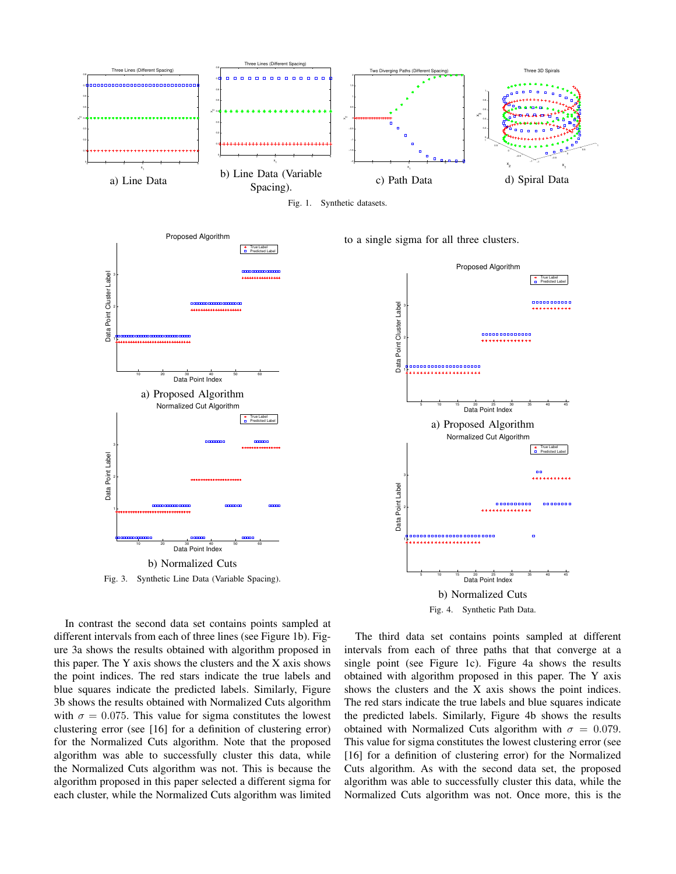

Fig. 1. Synthetic datasets.



Fig. 3. Synthetic Line Data (Variable Spacing).

to a single sigma for all three clusters.



In contrast the second data set contains points sampled at different intervals from each of three lines (see Figure 1b). Figure 3a shows the results obtained with algorithm proposed in this paper. The Y axis shows the clusters and the X axis shows the point indices. The red stars indicate the true labels and blue squares indicate the predicted labels. Similarly, Figure 3b shows the results obtained with Normalized Cuts algorithm with  $\sigma = 0.075$ . This value for sigma constitutes the lowest clustering error (see [16] for a definition of clustering error) for the Normalized Cuts algorithm. Note that the proposed algorithm was able to successfully cluster this data, while the Normalized Cuts algorithm was not. This is because the algorithm proposed in this paper selected a different sigma for each cluster, while the Normalized Cuts algorithm was limited

The third data set contains points sampled at different intervals from each of three paths that that converge at a single point (see Figure 1c). Figure 4a shows the results obtained with algorithm proposed in this paper. The Y axis shows the clusters and the X axis shows the point indices. The red stars indicate the true labels and blue squares indicate the predicted labels. Similarly, Figure 4b shows the results obtained with Normalized Cuts algorithm with  $\sigma = 0.079$ . This value for sigma constitutes the lowest clustering error (see [16] for a definition of clustering error) for the Normalized Cuts algorithm. As with the second data set, the proposed algorithm was able to successfully cluster this data, while the Normalized Cuts algorithm was not. Once more, this is the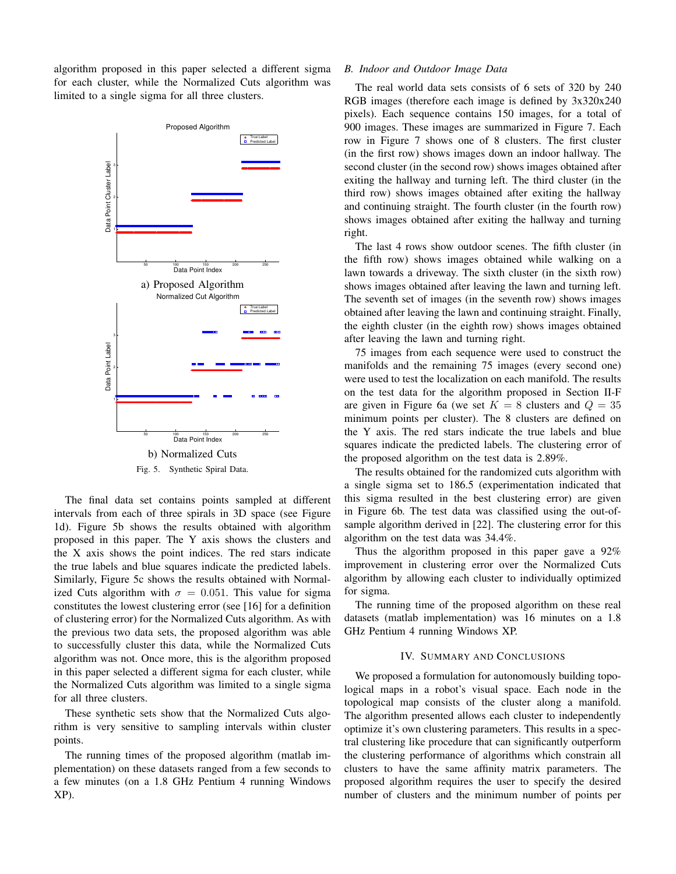algorithm proposed in this paper selected a different sigma for each cluster, while the Normalized Cuts algorithm was limited to a single sigma for all three clusters.



The final data set contains points sampled at different intervals from each of three spirals in 3D space (see Figure 1d). Figure 5b shows the results obtained with algorithm proposed in this paper. The Y axis shows the clusters and the X axis shows the point indices. The red stars indicate the true labels and blue squares indicate the predicted labels. Similarly, Figure 5c shows the results obtained with Normalized Cuts algorithm with  $\sigma = 0.051$ . This value for sigma constitutes the lowest clustering error (see [16] for a definition of clustering error) for the Normalized Cuts algorithm. As with the previous two data sets, the proposed algorithm was able to successfully cluster this data, while the Normalized Cuts algorithm was not. Once more, this is the algorithm proposed in this paper selected a different sigma for each cluster, while the Normalized Cuts algorithm was limited to a single sigma for all three clusters.

These synthetic sets show that the Normalized Cuts algorithm is very sensitive to sampling intervals within cluster points.

The running times of the proposed algorithm (matlab implementation) on these datasets ranged from a few seconds to a few minutes (on a 1.8 GHz Pentium 4 running Windows XP).

## *B. Indoor and Outdoor Image Data*

The real world data sets consists of 6 sets of 320 by 240 RGB images (therefore each image is defined by 3x320x240 pixels). Each sequence contains 150 images, for a total of 900 images. These images are summarized in Figure 7. Each row in Figure 7 shows one of 8 clusters. The first cluster (in the first row) shows images down an indoor hallway. The second cluster (in the second row) shows images obtained after exiting the hallway and turning left. The third cluster (in the third row) shows images obtained after exiting the hallway and continuing straight. The fourth cluster (in the fourth row) shows images obtained after exiting the hallway and turning right.

The last 4 rows show outdoor scenes. The fifth cluster (in the fifth row) shows images obtained while walking on a lawn towards a driveway. The sixth cluster (in the sixth row) shows images obtained after leaving the lawn and turning left. The seventh set of images (in the seventh row) shows images obtained after leaving the lawn and continuing straight. Finally, the eighth cluster (in the eighth row) shows images obtained after leaving the lawn and turning right.

75 images from each sequence were used to construct the manifolds and the remaining 75 images (every second one) were used to test the localization on each manifold. The results on the test data for the algorithm proposed in Section II-F are given in Figure 6a (we set  $K = 8$  clusters and  $Q = 35$ minimum points per cluster). The 8 clusters are defined on the Y axis. The red stars indicate the true labels and blue squares indicate the predicted labels. The clustering error of the proposed algorithm on the test data is 2.89%.

The results obtained for the randomized cuts algorithm with a single sigma set to 186.5 (experimentation indicated that this sigma resulted in the best clustering error) are given in Figure 6b. The test data was classified using the out-ofsample algorithm derived in [22]. The clustering error for this algorithm on the test data was 34.4%.

Thus the algorithm proposed in this paper gave a 92% improvement in clustering error over the Normalized Cuts algorithm by allowing each cluster to individually optimized for sigma.

The running time of the proposed algorithm on these real datasets (matlab implementation) was 16 minutes on a 1.8 GHz Pentium 4 running Windows XP.

# IV. SUMMARY AND CONCLUSIONS

We proposed a formulation for autonomously building topological maps in a robot's visual space. Each node in the topological map consists of the cluster along a manifold. The algorithm presented allows each cluster to independently optimize it's own clustering parameters. This results in a spectral clustering like procedure that can significantly outperform the clustering performance of algorithms which constrain all clusters to have the same affinity matrix parameters. The proposed algorithm requires the user to specify the desired number of clusters and the minimum number of points per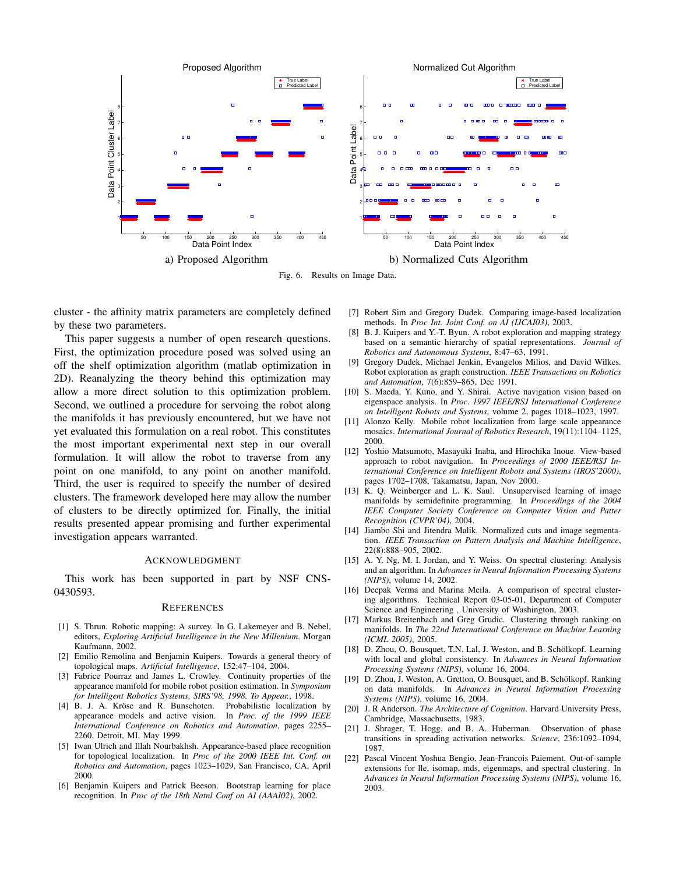

Fig. 6. Results on Image Data.

cluster - the affinity matrix parameters are completely defined by these two parameters.

This paper suggests a number of open research questions. First, the optimization procedure posed was solved using an off the shelf optimization algorithm (matlab optimization in 2D). Reanalyzing the theory behind this optimization may allow a more direct solution to this optimization problem. Second, we outlined a procedure for servoing the robot along the manifolds it has previously encountered, but we have not yet evaluated this formulation on a real robot. This constitutes the most important experimental next step in our overall formulation. It will allow the robot to traverse from any point on one manifold, to any point on another manifold. Third, the user is required to specify the number of desired clusters. The framework developed here may allow the number of clusters to be directly optimized for. Finally, the initial results presented appear promising and further experimental investigation appears warranted.

## ACKNOWLEDGMENT

This work has been supported in part by NSF CNS-0430593.

## **REFERENCES**

- [1] S. Thrun. Robotic mapping: A survey. In G. Lakemeyer and B. Nebel, editors, *Exploring Artificial Intelligence in the New Millenium*. Morgan Kaufmann, 2002.
- [2] Emilio Remolina and Benjamin Kuipers. Towards a general theory of topological maps. *Artificial Intelligence*, 152:47–104, 2004.
- [3] Fabrice Pourraz and James L. Crowley. Continuity properties of the appearance manifold for mobile robot position estimation. In *Symposium for Intelligent Robotics Systems, SIRS'98, 1998. To Appear.*, 1998.
- [4] B. J. A. Kröse and R. Bunschoten. Probabilistic localization by appearance models and active vision. In *Proc. of the 1999 IEEE International Conference on Robotics and Automation*, pages 2255– 2260, Detroit, MI, May 1999.
- [5] Iwan Ulrich and Illah Nourbakhsh. Appearance-based place recognition for topological localization. In *Proc of the 2000 IEEE Int. Conf. on Robotics and Automation*, pages 1023–1029, San Francisco, CA, April 2000.
- [6] Benjamin Kuipers and Patrick Beeson. Bootstrap learning for place recognition. In *Proc of the 18th Natnl Conf on AI (AAAI02)*, 2002.
- [7] Robert Sim and Gregory Dudek. Comparing image-based localization methods. In *Proc Int. Joint Conf. on AI (IJCAI03)*, 2003.
- [8] B. J. Kuipers and Y.-T. Byun. A robot exploration and mapping strategy based on a semantic hierarchy of spatial representations. *Journal of Robotics and Autonomous Systems*, 8:47–63, 1991.
- [9] Gregory Dudek, Michael Jenkin, Evangelos Milios, and David Wilkes. Robot exploration as graph construction. *IEEE Transactions on Robotics and Automation*, 7(6):859–865, Dec 1991.
- [10] S. Maeda, Y. Kuno, and Y. Shirai. Active navigation vision based on eigenspace analysis. In *Proc. 1997 IEEE/RSJ International Conference on Intelligent Robots and Systems*, volume 2, pages 1018–1023, 1997.
- [11] Alonzo Kelly. Mobile robot localization from large scale appearance mosaics. *International Journal of Robotics Research*, 19(11):1104–1125, 2000.
- [12] Yoshio Matsumoto, Masayuki Inaba, and Hirochika Inoue. View-based approach to robot navigation. In *Proceedings of 2000 IEEE/RSJ International Conference on Intelligent Robots and Systems (IROS'2000)*, pages 1702–1708, Takamatsu, Japan, Nov 2000.
- [13] K. Q. Weinberger and L. K. Saul. Unsupervised learning of image manifolds by semidefinite programming. In *Proceedings of the 2004 IEEE Computer Society Conference on Computer Vision and Patter Recognition (CVPR'04)*, 2004.
- [14] Jiambo Shi and Jitendra Malik. Normalized cuts and image segmentation. *IEEE Transaction on Pattern Analysis and Machine Intelligence*, 22(8):888–905, 2002.
- [15] A. Y. Ng, M. I. Jordan, and Y. Weiss. On spectral clustering: Analysis and an algorithm. In *Advances in Neural Information Processing Systems (NIPS)*, volume 14, 2002.
- [16] Deepak Verma and Marina Meila. A comparison of spectral clustering algorithms. Technical Report 03-05-01, Department of Computer Science and Engineering , University of Washington, 2003.
- [17] Markus Breitenbach and Greg Grudic. Clustering through ranking on manifolds. In *The 22nd International Conference on Machine Learning (ICML 2005)*, 2005.
- [18] D. Zhou, O. Bousquet, T.N. Lal, J. Weston, and B. Schölkopf. Learning with local and global consistency. In *Advances in Neural Information Processing Systems (NIPS)*, volume 16, 2004.
- [19] D. Zhou, J. Weston, A. Gretton, O. Bousquet, and B. Schölkopf. Ranking on data manifolds. In *Advances in Neural Information Processing Systems (NIPS)*, volume 16, 2004.
- [20] J. R Anderson. *The Architecture of Cognition*. Harvard University Press, Cambridge, Massachusetts, 1983.
- [21] J. Shrager, T. Hogg, and B. A. Huberman. Observation of phase transitions in spreading activation networks. *Science*, 236:1092–1094, 1987.
- [22] Pascal Vincent Yoshua Bengio, Jean-Francois Paiement. Out-of-sample extensions for lle, isomap, mds, eigenmaps, and spectral clustering. In *Advances in Neural Information Processing Systems (NIPS)*, volume 16, 2003.